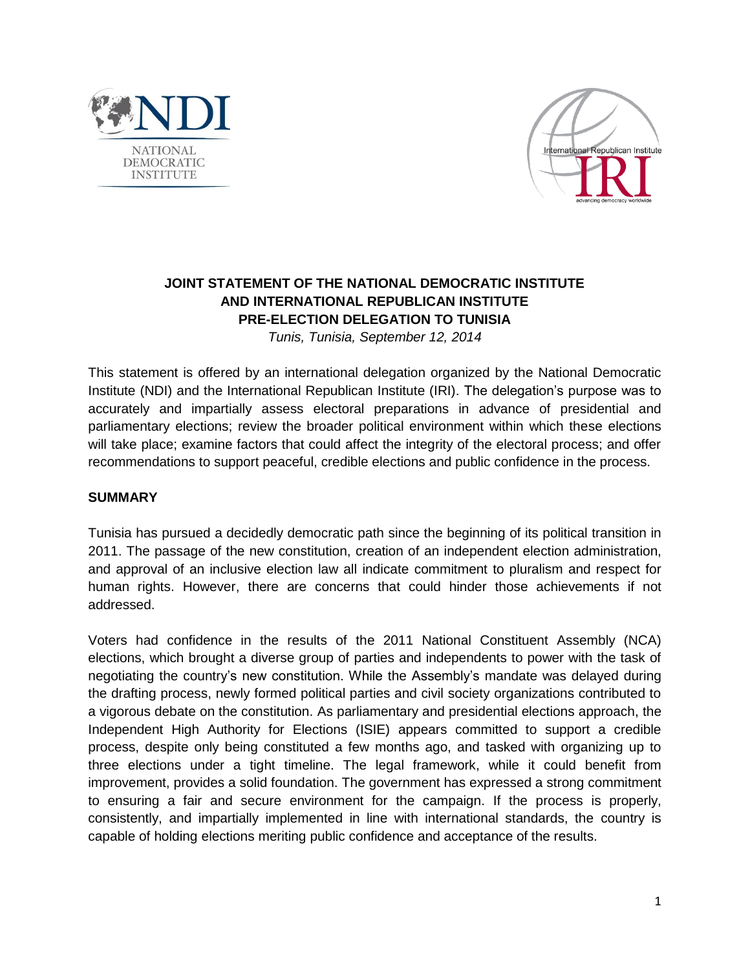



# **JOINT STATEMENT OF THE NATIONAL DEMOCRATIC INSTITUTE AND INTERNATIONAL REPUBLICAN INSTITUTE PRE-ELECTION DELEGATION TO TUNISIA**

*Tunis, Tunisia, September 12, 2014*

This statement is offered by an international delegation organized by the National Democratic Institute (NDI) and the International Republican Institute (IRI). The delegation's purpose was to accurately and impartially assess electoral preparations in advance of presidential and parliamentary elections; review the broader political environment within which these elections will take place; examine factors that could affect the integrity of the electoral process; and offer recommendations to support peaceful, credible elections and public confidence in the process.

#### **SUMMARY**

Tunisia has pursued a decidedly democratic path since the beginning of its political transition in 2011. The passage of the new constitution, creation of an independent election administration, and approval of an inclusive election law all indicate commitment to pluralism and respect for human rights. However, there are concerns that could hinder those achievements if not addressed.

Voters had confidence in the results of the 2011 National Constituent Assembly (NCA) elections, which brought a diverse group of parties and independents to power with the task of negotiating the country's new constitution. While the Assembly's mandate was delayed during the drafting process, newly formed political parties and civil society organizations contributed to a vigorous debate on the constitution. As parliamentary and presidential elections approach, the Independent High Authority for Elections (ISIE) appears committed to support a credible process, despite only being constituted a few months ago, and tasked with organizing up to three elections under a tight timeline. The legal framework, while it could benefit from improvement, provides a solid foundation. The government has expressed a strong commitment to ensuring a fair and secure environment for the campaign. If the process is properly, consistently, and impartially implemented in line with international standards, the country is capable of holding elections meriting public confidence and acceptance of the results.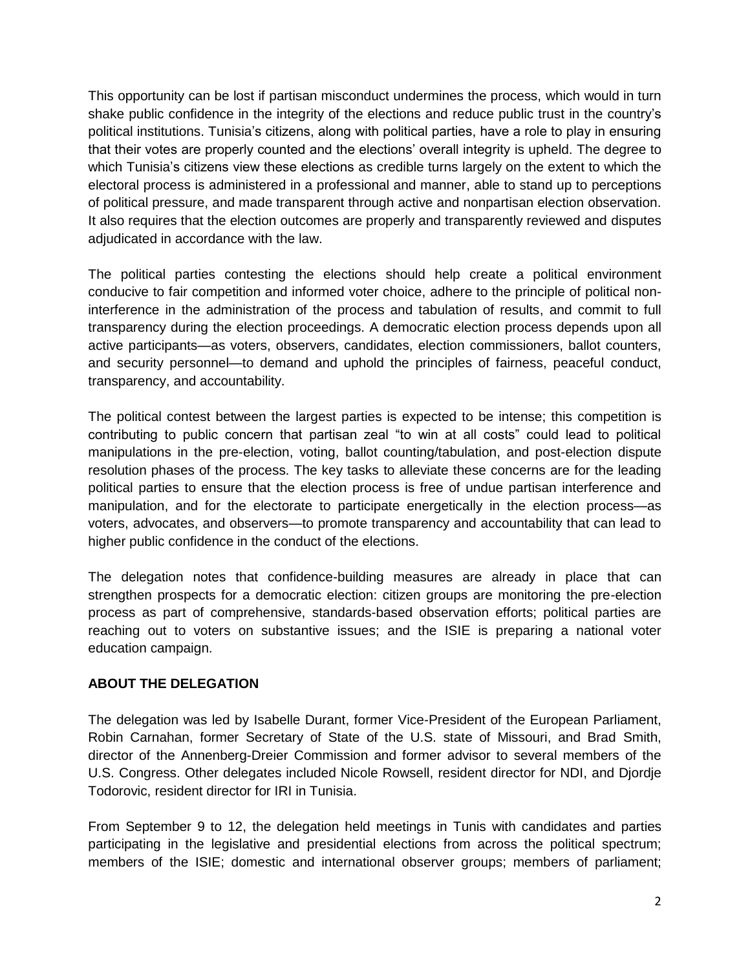This opportunity can be lost if partisan misconduct undermines the process, which would in turn shake public confidence in the integrity of the elections and reduce public trust in the country's political institutions. Tunisia's citizens, along with political parties, have a role to play in ensuring that their votes are properly counted and the elections' overall integrity is upheld. The degree to which Tunisia's citizens view these elections as credible turns largely on the extent to which the electoral process is administered in a professional and manner, able to stand up to perceptions of political pressure, and made transparent through active and nonpartisan election observation. It also requires that the election outcomes are properly and transparently reviewed and disputes adjudicated in accordance with the law.

The political parties contesting the elections should help create a political environment conducive to fair competition and informed voter choice, adhere to the principle of political noninterference in the administration of the process and tabulation of results, and commit to full transparency during the election proceedings. A democratic election process depends upon all active participants—as voters, observers, candidates, election commissioners, ballot counters, and security personnel—to demand and uphold the principles of fairness, peaceful conduct, transparency, and accountability.

The political contest between the largest parties is expected to be intense; this competition is contributing to public concern that partisan zeal "to win at all costs" could lead to political manipulations in the pre-election, voting, ballot counting/tabulation, and post-election dispute resolution phases of the process. The key tasks to alleviate these concerns are for the leading political parties to ensure that the election process is free of undue partisan interference and manipulation, and for the electorate to participate energetically in the election process—as voters, advocates, and observers—to promote transparency and accountability that can lead to higher public confidence in the conduct of the elections.

The delegation notes that confidence-building measures are already in place that can strengthen prospects for a democratic election: citizen groups are monitoring the pre-election process as part of comprehensive, standards-based observation efforts; political parties are reaching out to voters on substantive issues; and the ISIE is preparing a national voter education campaign.

## **ABOUT THE DELEGATION**

The delegation was led by Isabelle Durant, former Vice-President of the European Parliament, Robin Carnahan, former Secretary of State of the U.S. state of Missouri, and Brad Smith, director of the Annenberg-Dreier Commission and former advisor to several members of the U.S. Congress. Other delegates included Nicole Rowsell, resident director for NDI, and Djordje Todorovic, resident director for IRI in Tunisia.

From September 9 to 12, the delegation held meetings in Tunis with candidates and parties participating in the legislative and presidential elections from across the political spectrum; members of the ISIE; domestic and international observer groups; members of parliament;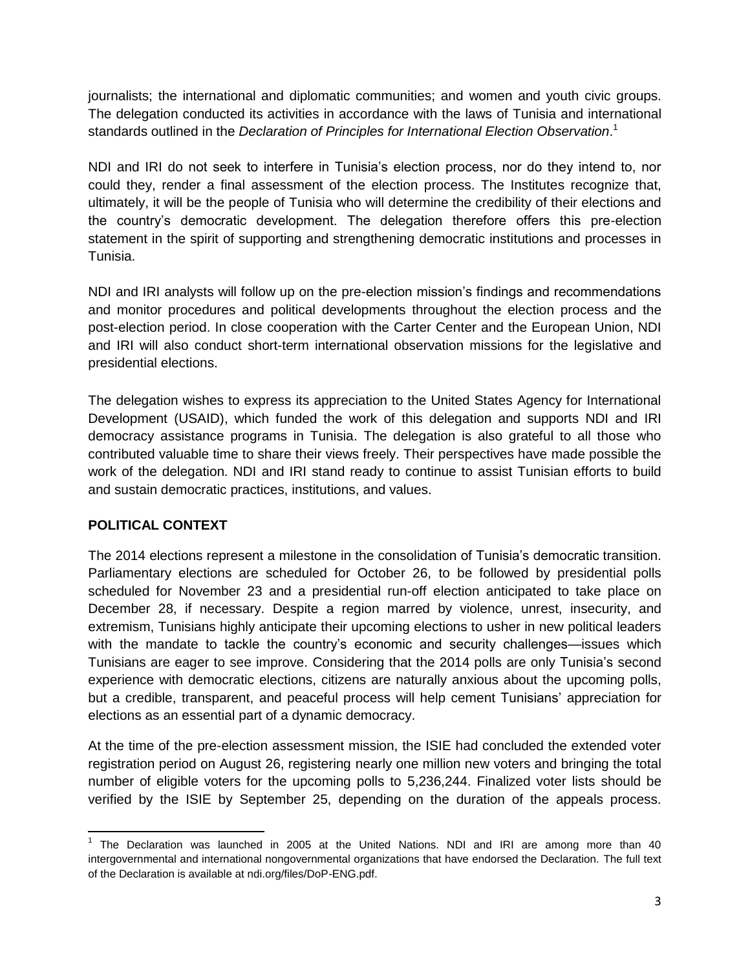journalists; the international and diplomatic communities; and women and youth civic groups. The delegation conducted its activities in accordance with the laws of Tunisia and international standards outlined in the *Declaration of Principles for International Election Observation*. 1

NDI and IRI do not seek to interfere in Tunisia's election process, nor do they intend to, nor could they, render a final assessment of the election process. The Institutes recognize that, ultimately, it will be the people of Tunisia who will determine the credibility of their elections and the country's democratic development. The delegation therefore offers this pre-election statement in the spirit of supporting and strengthening democratic institutions and processes in Tunisia.

NDI and IRI analysts will follow up on the pre-election mission's findings and recommendations and monitor procedures and political developments throughout the election process and the post-election period. In close cooperation with the Carter Center and the European Union, NDI and IRI will also conduct short-term international observation missions for the legislative and presidential elections.

The delegation wishes to express its appreciation to the United States Agency for International Development (USAID), which funded the work of this delegation and supports NDI and IRI democracy assistance programs in Tunisia. The delegation is also grateful to all those who contributed valuable time to share their views freely. Their perspectives have made possible the work of the delegation. NDI and IRI stand ready to continue to assist Tunisian efforts to build and sustain democratic practices, institutions, and values.

## **POLITICAL CONTEXT**

l

The 2014 elections represent a milestone in the consolidation of Tunisia's democratic transition. Parliamentary elections are scheduled for October 26, to be followed by presidential polls scheduled for November 23 and a presidential run-off election anticipated to take place on December 28, if necessary. Despite a region marred by violence, unrest, insecurity, and extremism, Tunisians highly anticipate their upcoming elections to usher in new political leaders with the mandate to tackle the country's economic and security challenges—issues which Tunisians are eager to see improve. Considering that the 2014 polls are only Tunisia's second experience with democratic elections, citizens are naturally anxious about the upcoming polls, but a credible, transparent, and peaceful process will help cement Tunisians' appreciation for elections as an essential part of a dynamic democracy.

At the time of the pre-election assessment mission, the ISIE had concluded the extended voter registration period on August 26, registering nearly one million new voters and bringing the total number of eligible voters for the upcoming polls to 5,236,244. Finalized voter lists should be verified by the ISIE by September 25, depending on the duration of the appeals process.

<sup>&</sup>lt;sup>1</sup> The Declaration was launched in 2005 at the United Nations. NDI and IRI are among more than 40 intergovernmental and international nongovernmental organizations that have endorsed the Declaration. The full text of the Declaration is available at ndi.org/files/DoP-ENG.pdf.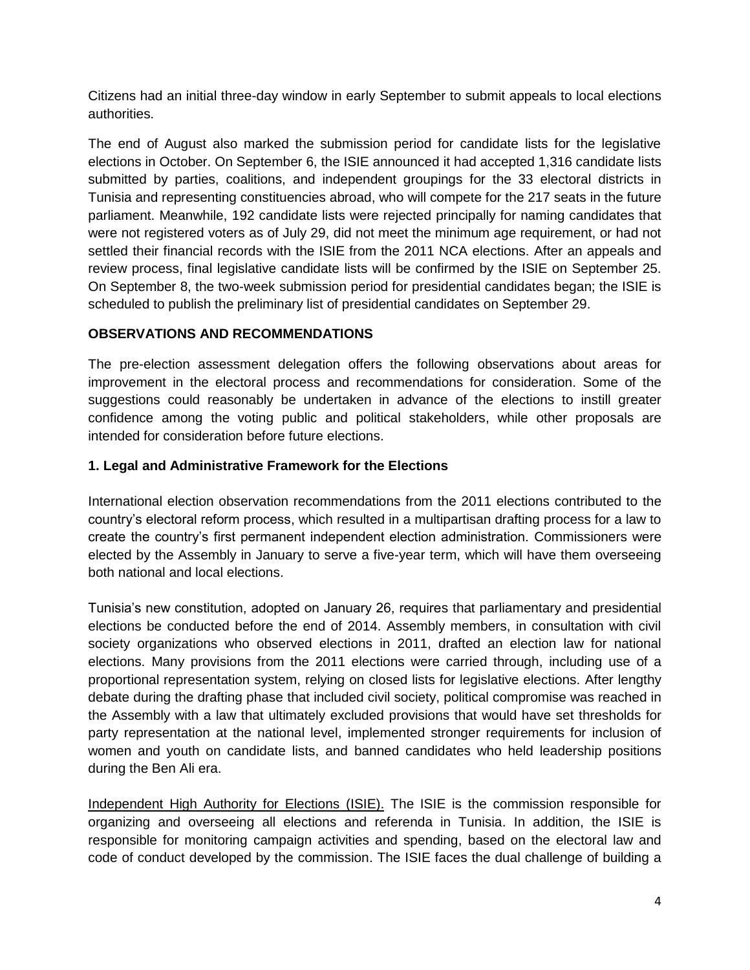Citizens had an initial three-day window in early September to submit appeals to local elections authorities.

The end of August also marked the submission period for candidate lists for the legislative elections in October. On September 6, the ISIE announced it had accepted 1,316 candidate lists submitted by parties, coalitions, and independent groupings for the 33 electoral districts in Tunisia and representing constituencies abroad, who will compete for the 217 seats in the future parliament. Meanwhile, 192 candidate lists were rejected principally for naming candidates that were not registered voters as of July 29, did not meet the minimum age requirement, or had not settled their financial records with the ISIE from the 2011 NCA elections. After an appeals and review process, final legislative candidate lists will be confirmed by the ISIE on September 25. On September 8, the two-week submission period for presidential candidates began; the ISIE is scheduled to publish the preliminary list of presidential candidates on September 29.

## **OBSERVATIONS AND RECOMMENDATIONS**

The pre-election assessment delegation offers the following observations about areas for improvement in the electoral process and recommendations for consideration. Some of the suggestions could reasonably be undertaken in advance of the elections to instill greater confidence among the voting public and political stakeholders, while other proposals are intended for consideration before future elections.

#### **1. Legal and Administrative Framework for the Elections**

International election observation recommendations from the 2011 elections contributed to the country's electoral reform process, which resulted in a multipartisan drafting process for a law to create the country's first permanent independent election administration. Commissioners were elected by the Assembly in January to serve a five-year term, which will have them overseeing both national and local elections.

Tunisia's new constitution, adopted on January 26, requires that parliamentary and presidential elections be conducted before the end of 2014. Assembly members, in consultation with civil society organizations who observed elections in 2011, drafted an election law for national elections. Many provisions from the 2011 elections were carried through, including use of a proportional representation system, relying on closed lists for legislative elections. After lengthy debate during the drafting phase that included civil society, political compromise was reached in the Assembly with a law that ultimately excluded provisions that would have set thresholds for party representation at the national level, implemented stronger requirements for inclusion of women and youth on candidate lists, and banned candidates who held leadership positions during the Ben Ali era.

Independent High Authority for Elections (ISIE). The ISIE is the commission responsible for organizing and overseeing all elections and referenda in Tunisia. In addition, the ISIE is responsible for monitoring campaign activities and spending, based on the electoral law and code of conduct developed by the commission. The ISIE faces the dual challenge of building a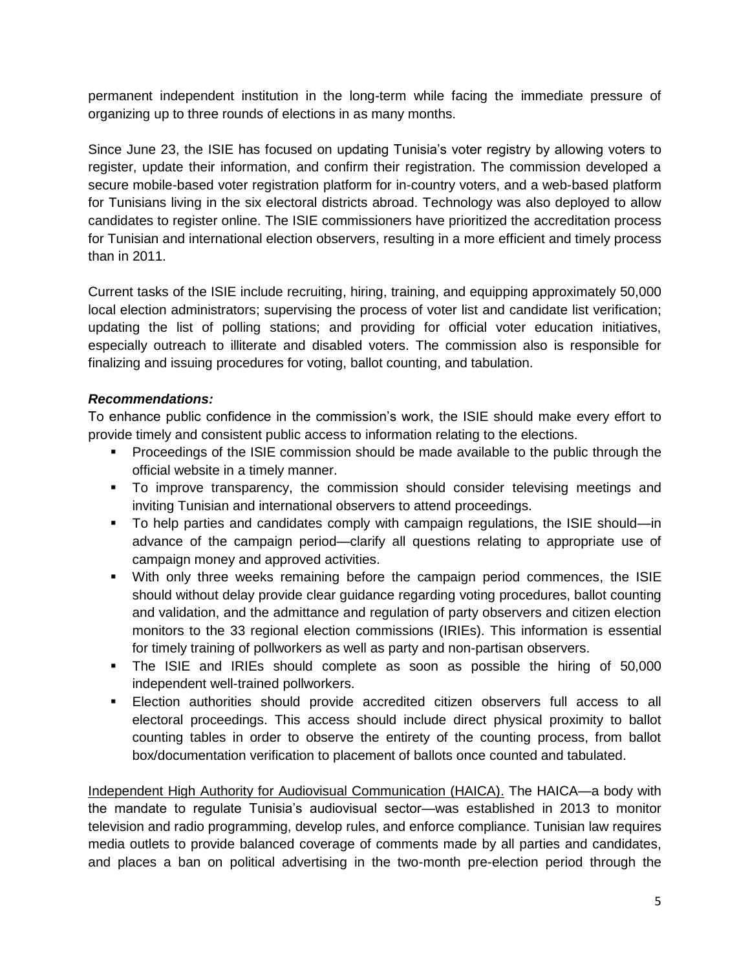permanent independent institution in the long-term while facing the immediate pressure of organizing up to three rounds of elections in as many months.

Since June 23, the ISIE has focused on updating Tunisia's voter registry by allowing voters to register, update their information, and confirm their registration. The commission developed a secure mobile-based voter registration platform for in-country voters, and a web-based platform for Tunisians living in the six electoral districts abroad. Technology was also deployed to allow candidates to register online. The ISIE commissioners have prioritized the accreditation process for Tunisian and international election observers, resulting in a more efficient and timely process than in 2011.

Current tasks of the ISIE include recruiting, hiring, training, and equipping approximately 50,000 local election administrators; supervising the process of voter list and candidate list verification; updating the list of polling stations; and providing for official voter education initiatives, especially outreach to illiterate and disabled voters. The commission also is responsible for finalizing and issuing procedures for voting, ballot counting, and tabulation.

#### *Recommendations:*

To enhance public confidence in the commission's work, the ISIE should make every effort to provide timely and consistent public access to information relating to the elections.

- **Proceedings of the ISIE commission should be made available to the public through the** official website in a timely manner.
- To improve transparency, the commission should consider televising meetings and inviting Tunisian and international observers to attend proceedings.
- To help parties and candidates comply with campaign regulations, the ISIE should—in advance of the campaign period—clarify all questions relating to appropriate use of campaign money and approved activities.
- With only three weeks remaining before the campaign period commences, the ISIE should without delay provide clear guidance regarding voting procedures, ballot counting and validation, and the admittance and regulation of party observers and citizen election monitors to the 33 regional election commissions (IRIEs). This information is essential for timely training of pollworkers as well as party and non-partisan observers.
- The ISIE and IRIEs should complete as soon as possible the hiring of 50,000 independent well-trained pollworkers.
- Election authorities should provide accredited citizen observers full access to all electoral proceedings. This access should include direct physical proximity to ballot counting tables in order to observe the entirety of the counting process, from ballot box/documentation verification to placement of ballots once counted and tabulated.

Independent High Authority for Audiovisual Communication (HAICA). The HAICA—a body with the mandate to regulate Tunisia's audiovisual sector—was established in 2013 to monitor television and radio programming, develop rules, and enforce compliance. Tunisian law requires media outlets to provide balanced coverage of comments made by all parties and candidates, and places a ban on political advertising in the two-month pre-election period through the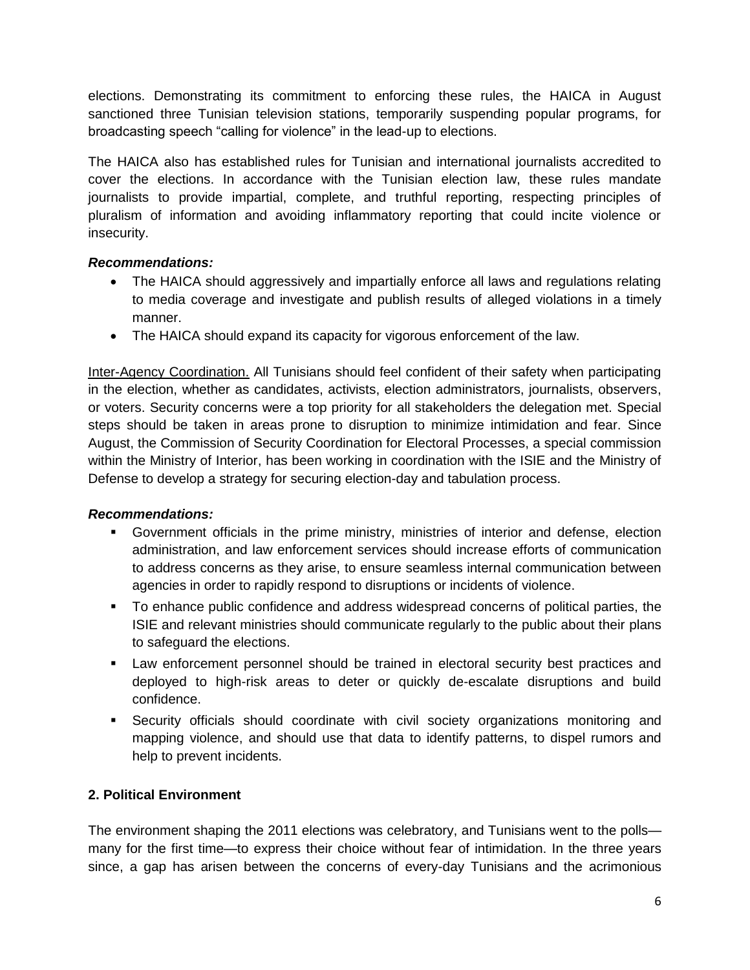elections. Demonstrating its commitment to enforcing these rules, the HAICA in August sanctioned three Tunisian television stations, temporarily suspending popular programs, for broadcasting speech "calling for violence" in the lead-up to elections.

The HAICA also has established rules for Tunisian and international journalists accredited to cover the elections. In accordance with the Tunisian election law, these rules mandate journalists to provide impartial, complete, and truthful reporting, respecting principles of pluralism of information and avoiding inflammatory reporting that could incite violence or insecurity.

## *Recommendations:*

- The HAICA should aggressively and impartially enforce all laws and regulations relating to media coverage and investigate and publish results of alleged violations in a timely manner.
- The HAICA should expand its capacity for vigorous enforcement of the law.

Inter-Agency Coordination. All Tunisians should feel confident of their safety when participating in the election, whether as candidates, activists, election administrators, journalists, observers, or voters. Security concerns were a top priority for all stakeholders the delegation met. Special steps should be taken in areas prone to disruption to minimize intimidation and fear. Since August, the Commission of Security Coordination for Electoral Processes, a special commission within the Ministry of Interior, has been working in coordination with the ISIE and the Ministry of Defense to develop a strategy for securing election-day and tabulation process.

## *Recommendations:*

- Government officials in the prime ministry, ministries of interior and defense, election administration, and law enforcement services should increase efforts of communication to address concerns as they arise, to ensure seamless internal communication between agencies in order to rapidly respond to disruptions or incidents of violence.
- To enhance public confidence and address widespread concerns of political parties, the ISIE and relevant ministries should communicate regularly to the public about their plans to safeguard the elections.
- Law enforcement personnel should be trained in electoral security best practices and deployed to high-risk areas to deter or quickly de-escalate disruptions and build confidence.
- Security officials should coordinate with civil society organizations monitoring and mapping violence, and should use that data to identify patterns, to dispel rumors and help to prevent incidents.

## **2. Political Environment**

The environment shaping the 2011 elections was celebratory, and Tunisians went to the polls many for the first time—to express their choice without fear of intimidation. In the three years since, a gap has arisen between the concerns of every-day Tunisians and the acrimonious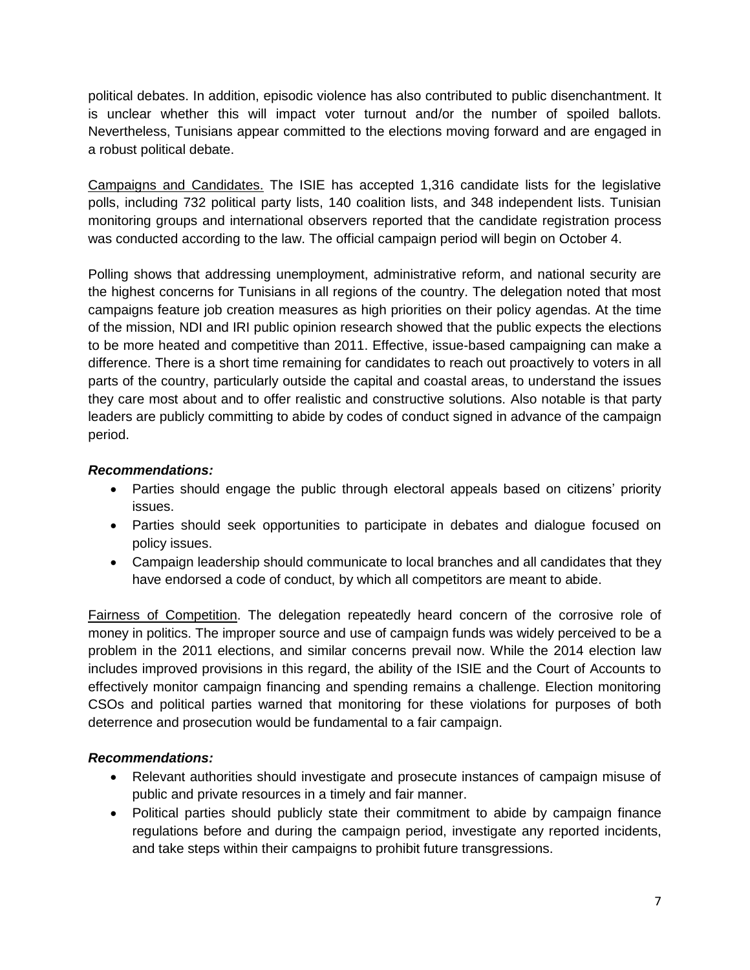political debates. In addition, episodic violence has also contributed to public disenchantment. It is unclear whether this will impact voter turnout and/or the number of spoiled ballots. Nevertheless, Tunisians appear committed to the elections moving forward and are engaged in a robust political debate.

Campaigns and Candidates. The ISIE has accepted 1,316 candidate lists for the legislative polls, including 732 political party lists, 140 coalition lists, and 348 independent lists. Tunisian monitoring groups and international observers reported that the candidate registration process was conducted according to the law. The official campaign period will begin on October 4.

Polling shows that addressing unemployment, administrative reform, and national security are the highest concerns for Tunisians in all regions of the country. The delegation noted that most campaigns feature job creation measures as high priorities on their policy agendas. At the time of the mission, NDI and IRI public opinion research showed that the public expects the elections to be more heated and competitive than 2011. Effective, issue-based campaigning can make a difference. There is a short time remaining for candidates to reach out proactively to voters in all parts of the country, particularly outside the capital and coastal areas, to understand the issues they care most about and to offer realistic and constructive solutions. Also notable is that party leaders are publicly committing to abide by codes of conduct signed in advance of the campaign period.

## *Recommendations:*

- Parties should engage the public through electoral appeals based on citizens' priority issues.
- Parties should seek opportunities to participate in debates and dialogue focused on policy issues.
- Campaign leadership should communicate to local branches and all candidates that they have endorsed a code of conduct, by which all competitors are meant to abide.

Fairness of Competition. The delegation repeatedly heard concern of the corrosive role of money in politics. The improper source and use of campaign funds was widely perceived to be a problem in the 2011 elections, and similar concerns prevail now. While the 2014 election law includes improved provisions in this regard, the ability of the ISIE and the Court of Accounts to effectively monitor campaign financing and spending remains a challenge. Election monitoring CSOs and political parties warned that monitoring for these violations for purposes of both deterrence and prosecution would be fundamental to a fair campaign.

## *Recommendations:*

- Relevant authorities should investigate and prosecute instances of campaign misuse of public and private resources in a timely and fair manner.
- Political parties should publicly state their commitment to abide by campaign finance regulations before and during the campaign period, investigate any reported incidents, and take steps within their campaigns to prohibit future transgressions.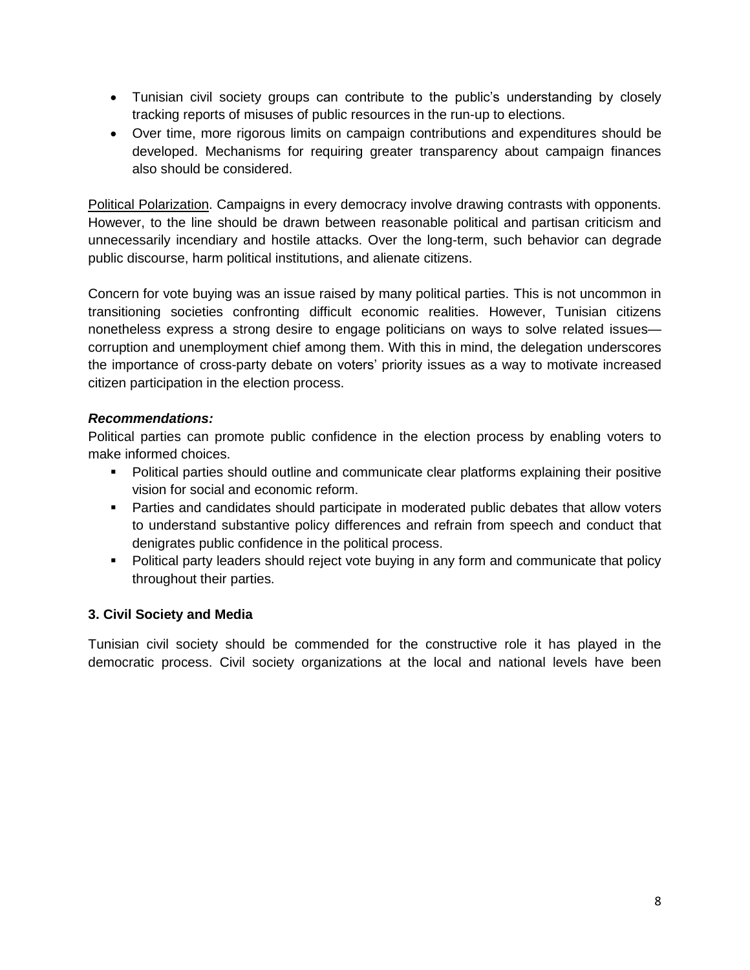- Tunisian civil society groups can contribute to the public's understanding by closely tracking reports of misuses of public resources in the run-up to elections.
- Over time, more rigorous limits on campaign contributions and expenditures should be developed. Mechanisms for requiring greater transparency about campaign finances also should be considered.

Political Polarization. Campaigns in every democracy involve drawing contrasts with opponents. However, to the line should be drawn between reasonable political and partisan criticism and unnecessarily incendiary and hostile attacks. Over the long-term, such behavior can degrade public discourse, harm political institutions, and alienate citizens.

Concern for vote buying was an issue raised by many political parties. This is not uncommon in transitioning societies confronting difficult economic realities. However, Tunisian citizens nonetheless express a strong desire to engage politicians on ways to solve related issues corruption and unemployment chief among them. With this in mind, the delegation underscores the importance of cross-party debate on voters' priority issues as a way to motivate increased citizen participation in the election process.

## *Recommendations:*

Political parties can promote public confidence in the election process by enabling voters to make informed choices.

- Political parties should outline and communicate clear platforms explaining their positive vision for social and economic reform.
- **Parties and candidates should participate in moderated public debates that allow voters** to understand substantive policy differences and refrain from speech and conduct that denigrates public confidence in the political process.
- Political party leaders should reject vote buying in any form and communicate that policy throughout their parties.

## **3. Civil Society and Media**

Tunisian civil society should be commended for the constructive role it has played in the democratic process. Civil society organizations at the local and national levels have been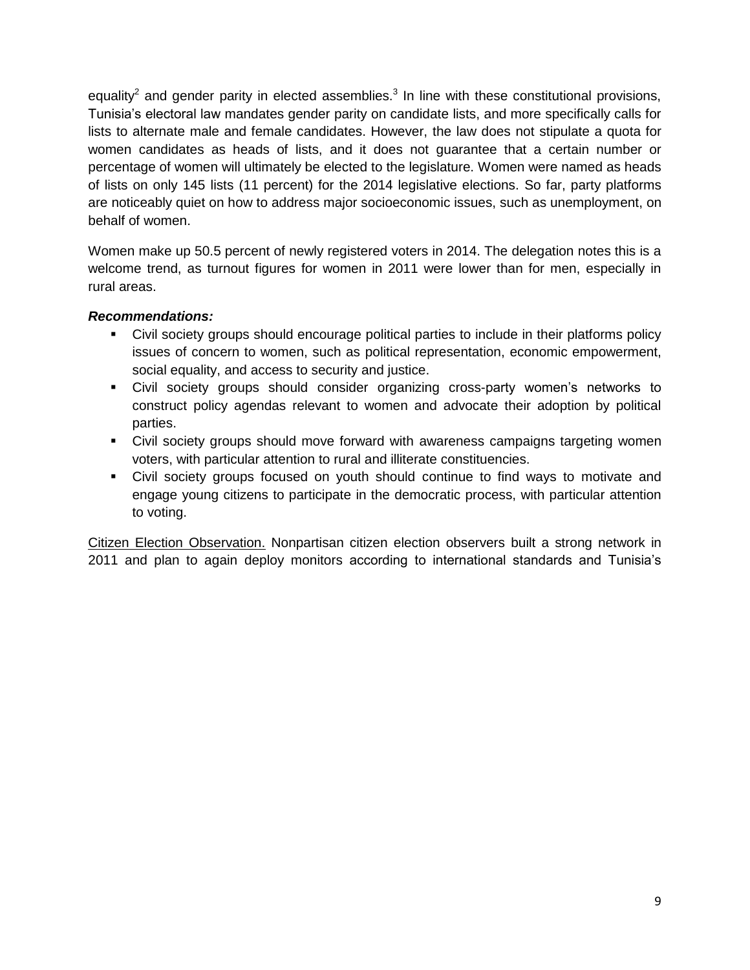equality<sup>2</sup> and gender parity in elected assemblies.<sup>3</sup> In line with these constitutional provisions, Tunisia's electoral law mandates gender parity on candidate lists, and more specifically calls for lists to alternate male and female candidates. However, the law does not stipulate a quota for women candidates as heads of lists, and it does not guarantee that a certain number or percentage of women will ultimately be elected to the legislature. Women were named as heads of lists on only 145 lists (11 percent) for the 2014 legislative elections. So far, party platforms are noticeably quiet on how to address major socioeconomic issues, such as unemployment, on behalf of women.

Women make up 50.5 percent of newly registered voters in 2014. The delegation notes this is a welcome trend, as turnout figures for women in 2011 were lower than for men, especially in rural areas.

## *Recommendations:*

- Civil society groups should encourage political parties to include in their platforms policy issues of concern to women, such as political representation, economic empowerment, social equality, and access to security and justice.
- Civil society groups should consider organizing cross-party women's networks to construct policy agendas relevant to women and advocate their adoption by political parties.
- Civil society groups should move forward with awareness campaigns targeting women voters, with particular attention to rural and illiterate constituencies.
- Civil society groups focused on youth should continue to find ways to motivate and engage young citizens to participate in the democratic process, with particular attention to voting.

Citizen Election Observation. Nonpartisan citizen election observers built a strong network in 2011 and plan to again deploy monitors according to international standards and Tunisia's